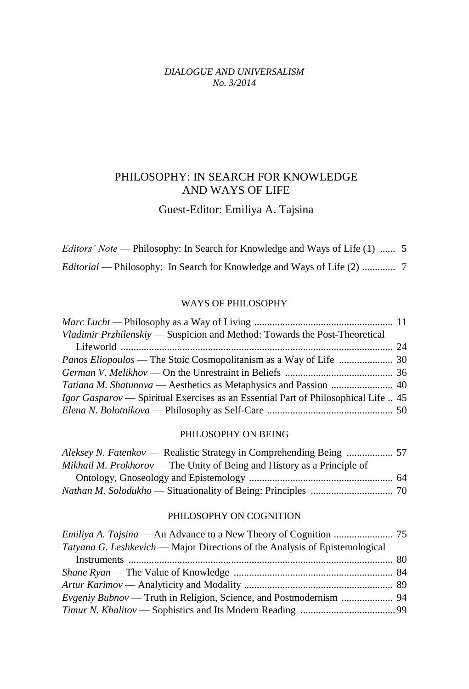#### *DIALOGUE AND UNIVERSALISM No. 3/2014*

# PHILOSOPHY: IN SEARCH FOR KNOWLEDGE AND WAYS OF LIFE

## Guest-Editor: Emiliya A. Tajsina

*Editors' Note* — Philosophy: In Search for Knowledge and Ways of Life (1) ...... 5 *Editorial* — Philosophy: In Search for Knowledge and Ways of Life (2) ............. 7

#### WAYS OF PHILOSOPHY

| Vladimir Przhilenskiy — Suspicion and Method: Towards the Post-Theoretical                |  |
|-------------------------------------------------------------------------------------------|--|
|                                                                                           |  |
|                                                                                           |  |
|                                                                                           |  |
|                                                                                           |  |
| <i>Igor Gasparov</i> — Spiritual Exercises as an Essential Part of Philosophical Life  45 |  |
|                                                                                           |  |

#### PHILOSOPHY ON BEING

| Mikhail M. Prokhorov — The Unity of Being and History as a Principle of |  |
|-------------------------------------------------------------------------|--|
|                                                                         |  |
|                                                                         |  |

### PHILOSOPHY ON COGNITION

| <i>Tatyana G. Leshkevich</i> — Major Directions of the Analysis of Epistemological |  |
|------------------------------------------------------------------------------------|--|
|                                                                                    |  |
|                                                                                    |  |
|                                                                                    |  |
|                                                                                    |  |
|                                                                                    |  |